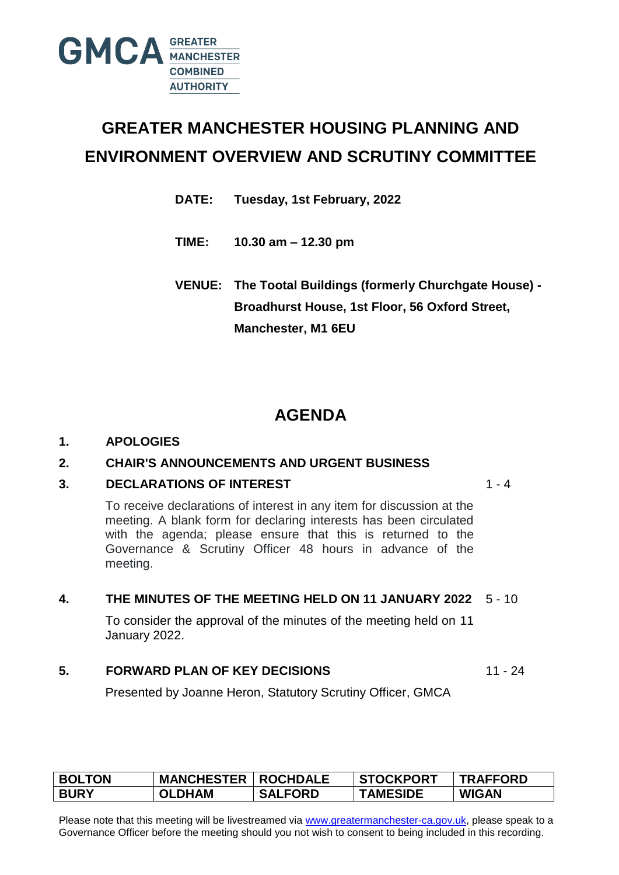

# **GREATER MANCHESTER HOUSING PLANNING AND ENVIRONMENT OVERVIEW AND SCRUTINY COMMITTEE**

**DATE: Tuesday, 1st February, 2022**

**TIME: 10.30 am – 12.30 pm** 

**VENUE: The Tootal Buildings (formerly Churchgate House) - Broadhurst House, 1st Floor, 56 Oxford Street, Manchester, M1 6EU**

# **AGENDA**

#### **1. APOLOGIES**

#### **2. CHAIR'S ANNOUNCEMENTS AND URGENT BUSINESS**

#### **3. DECLARATIONS OF INTEREST**

 $1 - 4$ 

To receive declarations of interest in any item for discussion at the meeting. A blank form for declaring interests has been circulated with the agenda; please ensure that this is returned to the Governance & Scrutiny Officer 48 hours in advance of the meeting.

#### **4. THE MINUTES OF THE MEETING HELD ON 11 JANUARY 2022** 5 - 10

To consider the approval of the minutes of the meeting held on 11 January 2022.

#### **5. FORWARD PLAN OF KEY DECISIONS**

11 - 24

Presented by Joanne Heron, Statutory Scrutiny Officer, GMCA

| <b>BOLTON</b> | <b>MANCHESTER   ROCHDALE</b> |                | <b>STOCKPORT</b> | <b>TRAFFORD</b> |
|---------------|------------------------------|----------------|------------------|-----------------|
| <b>BURY</b>   | <b>OLDHAM</b>                | <b>SALFORD</b> | <b>TAMESIDE</b>  | <b>WIGAN</b>    |

Please note that this meeting will be livestreamed via [www.greatermanchester-ca.gov.uk,](http://www.greatermanchester-ca.gov.uk/) please speak to a Governance Officer before the meeting should you not wish to consent to being included in this recording.